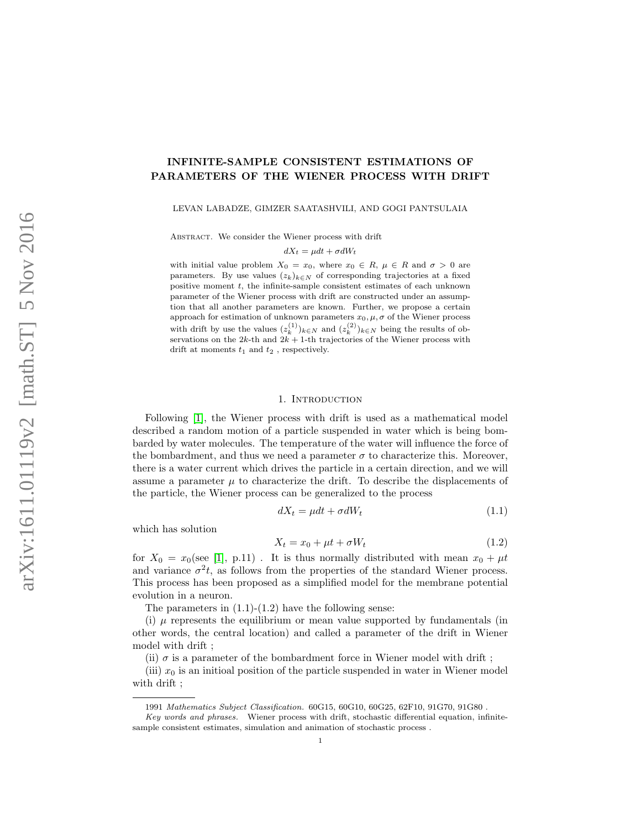# INFINITE-SAMPLE CONSISTENT ESTIMATIONS OF PARAMETERS OF THE WIENER PROCESS WITH DRIFT

LEVAN LABADZE, GIMZER SAATASHVILI, AND GOGI PANTSULAIA

Abstract. We consider the Wiener process with drift

$$
dX_t = \mu dt + \sigma dW_t
$$

with initial value problem  $X_0 = x_0$ , where  $x_0 \in R$ ,  $\mu \in R$  and  $\sigma > 0$  are parameters. By use values  $(z_k)_{k\in\mathbb{N}}$  of corresponding trajectories at a fixed positive moment  $t$ , the infinite-sample consistent estimates of each unknown parameter of the Wiener process with drift are constructed under an assumption that all another parameters are known. Further, we propose a certain approach for estimation of unknown parameters  $x_0, \mu, \sigma$  of the Wiener process with drift by use the values  $(z_k^{(1)})_{k \in N}$  and  $(z_k^{(2)})_{k \in N}$  being the results of observations on the  $2k$ -th and  $2k + 1$ -th trajectories of the Wiener process with drift at moments  $t_1$  and  $t_2$  , respectively.

#### 1. INTRODUCTION

Following [\[1\]](#page-14-0), the Wiener process with drift is used as a mathematical model described a random motion of a particle suspended in water which is being bombarded by water molecules. The temperature of the water will influence the force of the bombardment, and thus we need a parameter  $\sigma$  to characterize this. Moreover, there is a water current which drives the particle in a certain direction, and we will assume a parameter  $\mu$  to characterize the drift. To describe the displacements of the particle, the Wiener process can be generalized to the process

$$
dX_t = \mu dt + \sigma dW_t \tag{1.1}
$$

which has solution

$$
X_t = x_0 + \mu t + \sigma W_t \tag{1.2}
$$

for  $X_0 = x_0$ (see [\[1\]](#page-14-0), p.11). It is thus normally distributed with mean  $x_0 + \mu t$ and variance  $\sigma^2 t$ , as follows from the properties of the standard Wiener process. This process has been proposed as a simplified model for the membrane potential evolution in a neuron.

The parameters in  $(1.1)$ - $(1.2)$  have the following sense:

(i)  $\mu$  represents the equilibrium or mean value supported by fundamentals (in other words, the central location) and called a parameter of the drift in Wiener model with drift ;

(ii)  $\sigma$  is a parameter of the bombardment force in Wiener model with drift;

(iii)  $x_0$  is an initioal position of the particle suspended in water in Wiener model with drift ;

<sup>1991</sup> Mathematics Subject Classification. 60G15, 60G10, 60G25, 62F10, 91G70, 91G80 .

Key words and phrases. Wiener process with drift, stochastic differential equation, infinitesample consistent estimates, simulation and animation of stochastic process .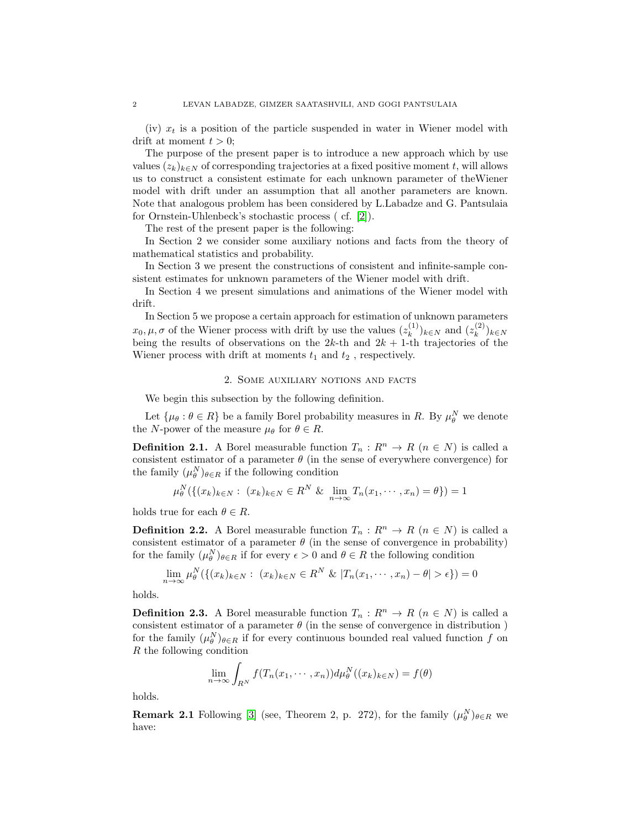(iv)  $x_t$  is a position of the particle suspended in water in Wiener model with drift at moment  $t > 0$ ;

The purpose of the present paper is to introduce a new approach which by use values  $(z_k)_{k \in \mathbb{N}}$  of corresponding trajectories at a fixed positive moment t, will allows us to construct a consistent estimate for each unknown parameter of theWiener model with drift under an assumption that all another parameters are known. Note that analogous problem has been considered by L.Labadze and G. Pantsulaia for Ornstein-Uhlenbeck's stochastic process ( cf. [\[2\]](#page-14-1)).

The rest of the present paper is the following:

In Section 2 we consider some auxiliary notions and facts from the theory of mathematical statistics and probability.

In Section 3 we present the constructions of consistent and infinite-sample consistent estimates for unknown parameters of the Wiener model with drift.

In Section 4 we present simulations and animations of the Wiener model with drift.

In Section 5 we propose a certain approach for estimation of unknown parameters  $x_0, \mu, \sigma$  of the Wiener process with drift by use the values  $(z_k^{(1)})$  $(k^{(1)})_{k \in N}$  and  $(z_k^{(2)})$  $(k^{(2)})_{k \in N}$ being the results of observations on the  $2k$ -th and  $2k + 1$ -th trajectories of the Wiener process with drift at moments  $t_1$  and  $t_2$ , respectively.

## 2. Some auxiliary notions and facts

We begin this subsection by the following definition.

Let  $\{\mu_\theta : \theta \in R\}$  be a family Borel probability measures in R. By  $\mu_\theta^N$  we denote the N-power of the measure  $\mu_{\theta}$  for  $\theta \in R$ .

**Definition 2.1.** A Borel measurable function  $T_n: R^n \to R$   $(n \in N)$  is called a consistent estimator of a parameter  $\theta$  (in the sense of everywhere convergence) for the family  $(\mu_\theta^N)_{\theta \in R}$  if the following condition

$$
\mu_{\theta}^{N}(\{(x_{k})_{k\in N}: (x_{k})_{k\in N} \in R^{N} \& \lim_{n\to\infty} T_{n}(x_{1}, \cdots, x_{n}) = \theta\}) = 1
$$

holds true for each  $\theta \in R$ .

**Definition 2.2.** A Borel measurable function  $T_n: R^n \to R$   $(n \in N)$  is called a consistent estimator of a parameter  $\theta$  (in the sense of convergence in probability) for the family  $(\mu_\theta^N)_{\theta \in R}$  if for every  $\epsilon > 0$  and  $\theta \in R$  the following condition

$$
\lim_{n \to \infty} \mu_{\theta}^N(\{(x_k)_{k \in N} : (x_k)_{k \in N} \in R^N \& |T_n(x_1, \cdots, x_n) - \theta| > \epsilon\}) = 0
$$

holds.

**Definition 2.3.** A Borel measurable function  $T_n: R^n \to R$   $(n \in N)$  is called a consistent estimator of a parameter  $\theta$  (in the sense of convergence in distribution) for the family  $(\mu_\theta^N)_{\theta \in R}$  if for every continuous bounded real valued function f on R the following condition

$$
\lim_{n \to \infty} \int_{R^N} f(T_n(x_1, \dots, x_n)) d\mu_{\theta}^N((x_k)_{k \in N}) = f(\theta)
$$

holds.

**Remark 2.1** Following [\[3\]](#page-14-2) (see, Theorem 2, p. 272), for the family  $(\mu_{\theta}^{N})_{\theta \in R}$  we have: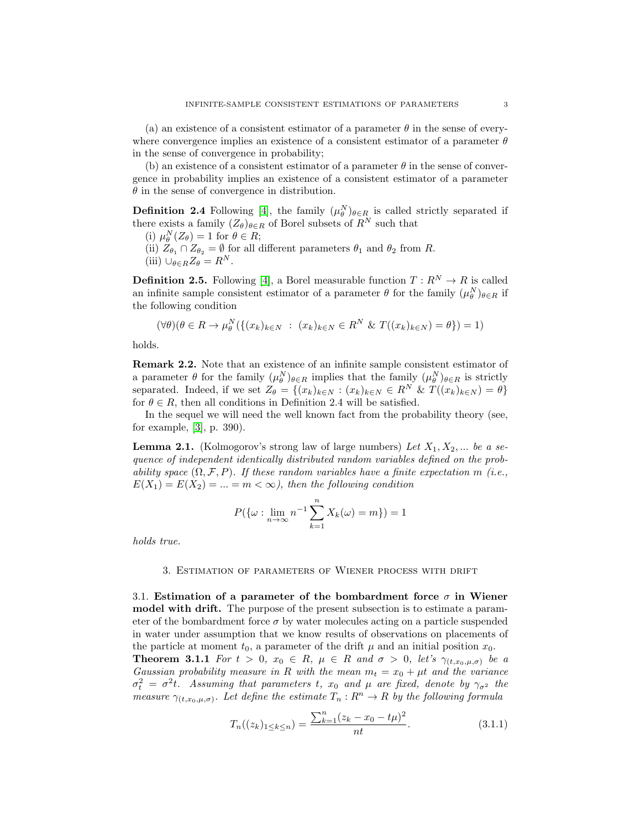(a) an existence of a consistent estimator of a parameter  $\theta$  in the sense of everywhere convergence implies an existence of a consistent estimator of a parameter  $\theta$ in the sense of convergence in probability;

(b) an existence of a consistent estimator of a parameter  $\theta$  in the sense of convergence in probability implies an existence of a consistent estimator of a parameter  $\theta$  in the sense of convergence in distribution.

**Definition 2.4** Following [\[4\]](#page-14-3), the family  $(\mu_{\theta}^{N})_{\theta \in R}$  is called strictly separated if there exists a family  $(Z_{\theta})_{\theta \in R}$  of Borel subsets of  $R^N$  such that

- (i)  $\mu_{\theta}^{N}(Z_{\theta}) = 1$  for  $\theta \in R$ ;
- (ii)  $Z_{\theta_1} \cap Z_{\theta_2} = \emptyset$  for all different parameters  $\theta_1$  and  $\theta_2$  from R.
- (iii)  $\bigcup_{\theta \in R} Z_{\theta} = R^{N}$ .

**Definition 2.5.** Following [\[4\]](#page-14-3), a Borel measurable function  $T: R^N \to R$  is called an infinite sample consistent estimator of a parameter  $\theta$  for the family  $(\mu_{\theta}^{N})_{\theta \in R}$  if the following condition

$$
(\forall \theta)(\theta \in R \to \mu_{\theta}^{N}(\{(x_k)_{k \in N} : (x_k)_{k \in N} \in R^{N} \& T((x_k)_{k \in N}) = \theta\}) = 1)
$$

holds.

Remark 2.2. Note that an existence of an infinite sample consistent estimator of a parameter  $\theta$  for the family  $(\mu_{\theta}^N)_{\theta \in R}$  implies that the family  $(\mu_{\theta}^N)_{\theta \in R}$  is strictly separated. Indeed, if we set  $Z_{\theta} = \{(x_k)_{k \in N} : (x_k)_{k \in N} \in R^N \& T((x_k)_{k \in N}) = \theta\}$ for  $\theta \in R$ , then all conditions in Definition 2.4 will be satisfied.

In the sequel we will need the well known fact from the probability theory (see, for example, [\[3\]](#page-14-2), p. 390).

**Lemma 2.1.** (Kolmogorov's strong law of large numbers) Let  $X_1, X_2, ...$  be a sequence of independent identically distributed random variables defined on the probability space  $(\Omega, \mathcal{F}, P)$ . If these random variables have a finite expectation m (i.e.,  $E(X_1) = E(X_2) = ... = m < \infty$ , then the following condition

$$
P(\{\omega : \lim_{n \to \infty} n^{-1} \sum_{k=1}^{n} X_k(\omega) = m\}) = 1
$$

holds true.

#### 3. Estimation of parameters of Wiener process with drift

3.1. Estimation of a parameter of the bombardment force  $\sigma$  in Wiener model with drift. The purpose of the present subsection is to estimate a parameter of the bombardment force  $\sigma$  by water molecules acting on a particle suspended in water under assumption that we know results of observations on placements of the particle at moment  $t_0$ , a parameter of the drift  $\mu$  and an initial position  $x_0$ . **Theorem 3.1.1** For  $t > 0$ ,  $x_0 \in R$ ,  $\mu \in R$  and  $\sigma > 0$ , let's  $\gamma_{(t,x_0,\mu,\sigma)}$  be a

Gaussian probability measure in R with the mean  $m_t = x_0 + \mu t$  and the variance  $\sigma_t^2 = \sigma^2 t$ . Assuming that parameters t,  $x_0$  and  $\mu$  are fixed, denote by  $\gamma_{\sigma^2}$  the measure  $\gamma_{(t,x_0,\mu,\sigma)}$ . Let define the estimate  $T_n: R^n \to R$  by the following formula

$$
T_n((z_k)_{1 \le k \le n}) = \frac{\sum_{k=1}^n (z_k - x_0 - t\mu)^2}{n t}.
$$
\n(3.1.1)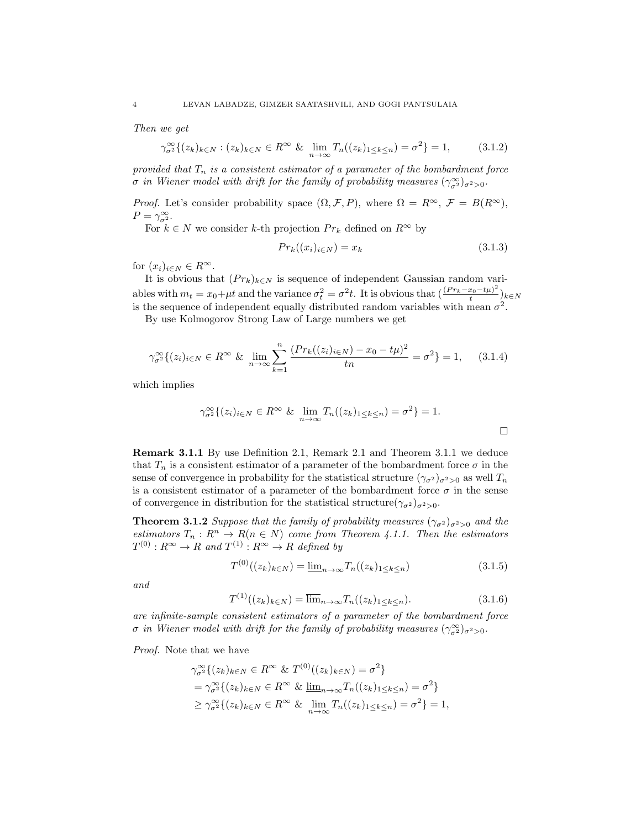Then we get

$$
\gamma_{\sigma^2}^{\infty} \{ (z_k)_{k \in N} : (z_k)_{k \in N} \in R^{\infty} \& \lim_{n \to \infty} T_n((z_k)_{1 \le k \le n}) = \sigma^2 \} = 1,
$$
 (3.1.2)

provided that  $T_n$  is a consistent estimator of a parameter of the bombardment force *σ* in Wiener model with drift for the family of probability measures  $(\gamma_{\sigma^2}^{\infty})_{\sigma^2>0}$ .

*Proof.* Let's consider probability space  $(\Omega, \mathcal{F}, P)$ , where  $\Omega = R^{\infty}$ ,  $\mathcal{F} = B(R^{\infty})$ ,  $P = \gamma_{\sigma^2}^{\infty}$ .

For  $k \in N$  we consider  $k\text{-th}$  projection  $Pr_k$  defined on  $R^\infty$  by

$$
Pr_k((x_i)_{i \in N}) = x_k \tag{3.1.3}
$$

for  $(x_i)_{i\in\mathbb{N}}\in R^{\infty}$ .

It is obvious that  $(Pr_k)_{k \in N}$  is sequence of independent Gaussian random variables with  $m_t = x_0 + \mu t$  and the variance  $\sigma_t^2 = \sigma^2 t$ . It is obvious that  $\left(\frac{(Pr_k - x_0 - t\mu)^2}{t}\right)$  $\frac{x_0 - t\mu}{t}$ <sub>k∈N</sub> is the sequence of independent equally distributed random variables with mean  $\sigma^2$ .

By use Kolmogorov Strong Law of Large numbers we get

$$
\gamma_{\sigma^2}^{\infty} \{ (z_i)_{i \in N} \in R^{\infty} \& \lim_{n \to \infty} \sum_{k=1}^n \frac{(Pr_k((z_i)_{i \in N}) - x_0 - t\mu)^2}{tn} = \sigma^2 \} = 1, \quad (3.1.4)
$$

which implies

$$
\gamma_{\sigma^2}^{\infty} \{ (z_i)_{i \in N} \in R^{\infty} \& \lim_{n \to \infty} T_n((z_k)_{1 \le k \le n}) = \sigma^2 \} = 1.
$$

Remark 3.1.1 By use Definition 2.1, Remark 2.1 and Theorem 3.1.1 we deduce that  $T_n$  is a consistent estimator of a parameter of the bombardment force  $\sigma$  in the sense of convergence in probability for the statistical structure  $(\gamma_{\sigma^2})_{\sigma^2>0}$  as well  $T_n$ is a consistent estimator of a parameter of the bombardment force  $\sigma$  in the sense of convergence in distribution for the statistical structure $(\gamma_{\sigma^2})_{\sigma^2>0}$ .

**Theorem 3.1.2** Suppose that the family of probability measures  $(\gamma_{\sigma^2})_{\sigma^2>0}$  and the estimators  $T_n: R^n \to R(n \in N)$  come from Theorem 4.1.1. Then the estimators  $T^{(0)}$  :  $R^{\infty} \to R$  and  $T^{(1)}$  :  $R^{\infty} \to R$  defined by

$$
T^{(0)}((z_k)_{k \in N}) = \underline{\lim}_{n \to \infty} T_n((z_k)_{1 \le k \le n})
$$
\n(3.1.5)

and

$$
T^{(1)}((z_k)_{k \in N}) = \overline{\lim}_{n \to \infty} T_n((z_k)_{1 \le k \le n}).
$$
\n(3.1.6)

are infinite-sample consistent estimators of a parameter of the bombardment force *σ* in Wiener model with drift for the family of probability measures  $(\gamma_{\sigma^2}^{\infty})_{\sigma^2>0}$ .

Proof. Note that we have

$$
\gamma_{\sigma^2}^{\infty} \{ (z_k)_{k \in N} \in R^{\infty} \& T^{(0)}((z_k)_{k \in N}) = \sigma^2 \}
$$
  
= 
$$
\gamma_{\sigma^2}^{\infty} \{ (z_k)_{k \in N} \in R^{\infty} \& \underline{\lim}_{n \to \infty} T_n((z_k)_{1 \le k \le n}) = \sigma^2 \}
$$
  

$$
\ge \gamma_{\sigma^2}^{\infty} \{ (z_k)_{k \in N} \in R^{\infty} \& \underline{\lim}_{n \to \infty} T_n((z_k)_{1 \le k \le n}) = \sigma^2 \} = 1,
$$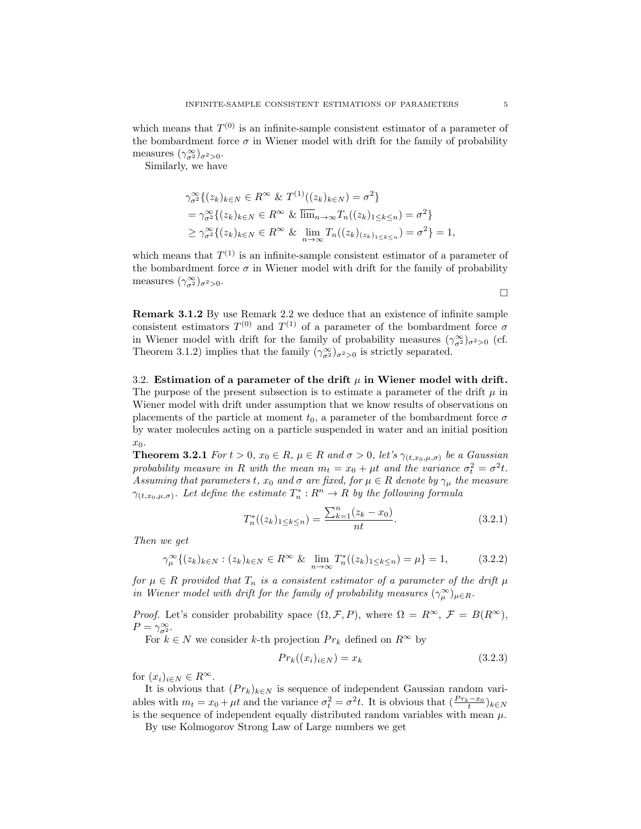Similarly, we have

$$
\gamma_{\sigma^2}^{\infty} \{ (z_k)_{k \in N} \in R^{\infty} \& T^{(1)}((z_k)_{k \in N}) = \sigma^2 \}
$$
  
= 
$$
\gamma_{\sigma^2}^{\infty} \{ (z_k)_{k \in N} \in R^{\infty} \& \overline{\lim}_{n \to \infty} T_n((z_k)_{1 \le k \le n}) = \sigma^2 \}
$$
  

$$
\ge \gamma_{\sigma^2}^{\infty} \{ (z_k)_{k \in N} \in R^{\infty} \& \lim_{n \to \infty} T_n((z_k)_{(z_k)_{1 \le k \le n}}) = \sigma^2 \} = 1,
$$

which means that  $T^{(1)}$  is an infinite-sample consistent estimator of a parameter of the bombardment force  $\sigma$  in Wiener model with drift for the family of probability measures  $(\gamma_{\sigma^2}^{\infty})_{\sigma^2>0}$ .

 $\Box$ 

Remark 3.1.2 By use Remark 2.2 we deduce that an existence of infinite sample consistent estimators  $T^{(0)}$  and  $T^{(1)}$  of a parameter of the bombardment force  $\sigma$ in Wiener model with drift for the family of probability measures  $(\gamma_{\sigma^2}^{\infty})_{\sigma^2>0}$  (cf. Theorem 3.1.2) implies that the family  $(\gamma_{\sigma}^{\infty})_{\sigma^2>0}$  is strictly separated.

3.2. Estimation of a parameter of the drift  $\mu$  in Wiener model with drift. The purpose of the present subsection is to estimate a parameter of the drift  $\mu$  in Wiener model with drift under assumption that we know results of observations on placements of the particle at moment  $t_0$ , a parameter of the bombardment force  $\sigma$ by water molecules acting on a particle suspended in water and an initial position  $x_0$ .

**Theorem 3.2.1** For  $t > 0$ ,  $x_0 \in R$ ,  $\mu \in R$  and  $\sigma > 0$ , let's  $\gamma_{(t,x_0,\mu,\sigma)}$  be a Gaussian probability measure in R with the mean  $m_t = x_0 + \mu t$  and the variance  $\sigma_t^2 = \sigma^2 t$ . Assuming that parameters t,  $x_0$  and  $\sigma$  are fixed, for  $\mu \in R$  denote by  $\gamma_{\mu}$  the measure  $\gamma_{(t,x_0,\mu,\sigma)}$ . Let define the estimate  $T_n^*: R^n \to R$  by the following formula

$$
T_n^*((z_k)_{1 \le k \le n}) = \frac{\sum_{k=1}^n (z_k - x_0)}{nt}.
$$
\n(3.2.1)

Then we get

$$
\gamma_{\mu}^{\infty} \{ (z_k)_{k \in N} : (z_k)_{k \in N} \in R^{\infty} \& \lim_{n \to \infty} T_n^* ((z_k)_{1 \le k \le n}) = \mu \} = 1, \quad (3.2.2)
$$

for  $\mu \in R$  provided that  $T_n$  is a consistent estimator of a parameter of the drift  $\mu$ in Wiener model with drift for the family of probability measures  $(\gamma_{\mu}^{\infty})_{\mu \in R}$ .

*Proof.* Let's consider probability space  $(\Omega, \mathcal{F}, P)$ , where  $\Omega = R^{\infty}$ ,  $\mathcal{F} = B(R^{\infty})$ ,  $P = \gamma_{\sigma^2}^{\infty}$ .

For  $k \in N$  we consider k-th projection  $Pr_k$  defined on  $R^{\infty}$  by

$$
Pr_k((x_i)_{i \in N}) = x_k \tag{3.2.3}
$$

for  $(x_i)_{i\in\mathbb{N}}\in R^{\infty}$ .

It is obvious that  $(Pr_k)_{k\in\mathbb{N}}$  is sequence of independent Gaussian random variables with  $m_t = x_0 + \mu t$  and the variance  $\sigma_t^2 = \sigma^2 t$ . It is obvious that  $\left(\frac{Pr_k - x_0}{t}\right)_{k \in N}$ is the sequence of independent equally distributed random variables with mean  $\mu$ .

By use Kolmogorov Strong Law of Large numbers we get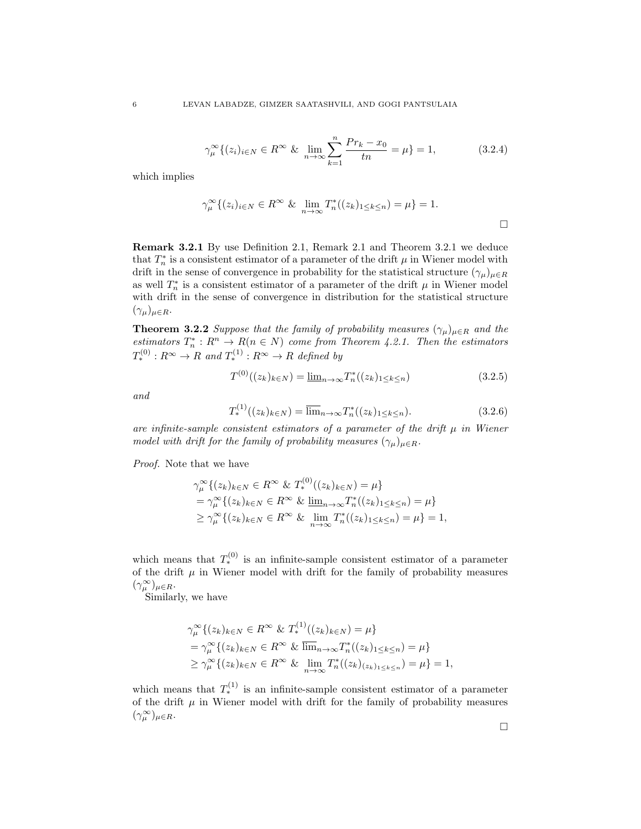$$
\gamma_{\mu}^{\infty} \{ (z_i)_{i \in N} \in R^{\infty} \& \lim_{n \to \infty} \sum_{k=1}^{n} \frac{Pr_k - x_0}{tn} = \mu \} = 1, \tag{3.2.4}
$$

which implies

$$
\gamma_{\mu}^{\infty} \{ (z_i)_{i \in N} \in R^{\infty} \& \lim_{n \to \infty} T_n^*((z_k)_{1 \le k \le n}) = \mu \} = 1.
$$

Remark 3.2.1 By use Definition 2.1, Remark 2.1 and Theorem 3.2.1 we deduce that  $T_n^*$  is a consistent estimator of a parameter of the drift  $\mu$  in Wiener model with drift in the sense of convergence in probability for the statistical structure  $(\gamma_\mu)_{\mu \in R}$ as well  $T_n^*$  is a consistent estimator of a parameter of the drift  $\mu$  in Wiener model with drift in the sense of convergence in distribution for the statistical structure  $(\gamma_\mu)_{\mu \in R}$ .

**Theorem 3.2.2** Suppose that the family of probability measures  $(\gamma_{\mu})_{\mu \in R}$  and the estimators  $T_n^*: R^n \to R(n \in N)$  come from Theorem 4.2.1. Then the estimators  $T^{(0)}_*: R^{\infty} \to R$  and  $T^{(1)}_*: R^{\infty} \to R$  defined by

$$
T^{(0)}((z_k)_{k \in N}) = \underline{\lim}_{n \to \infty} T_n^*((z_k)_{1 \le k \le n})
$$
\n(3.2.5)

and

$$
T_*^{(1)}((z_k)_{k \in N}) = \overline{\lim}_{n \to \infty} T_n^*((z_k)_{1 \le k \le n}).
$$
\n(3.2.6)

are infinite-sample consistent estimators of a parameter of the drift  $\mu$  in Wiener model with drift for the family of probability measures  $(\gamma_{\mu})_{\mu \in R}$ .

Proof. Note that we have

$$
\gamma_{\mu}^{\infty} \{ (z_k)_{k \in N} \in R^{\infty} \& T_*^{(0)}((z_k)_{k \in N}) = \mu \}
$$
  
= 
$$
\gamma_{\mu}^{\infty} \{ (z_k)_{k \in N} \in R^{\infty} \& \underline{\lim}_{n \to \infty} T_n^*((z_k)_{1 \le k \le n}) = \mu \}
$$
  

$$
\ge \gamma_{\mu}^{\infty} \{ (z_k)_{k \in N} \in R^{\infty} \& \underline{\lim}_{n \to \infty} T_n^*((z_k)_{1 \le k \le n}) = \mu \} = 1,
$$

which means that  $T_*^{(0)}$  is an infinite-sample consistent estimator of a parameter of the drift  $\mu$  in Wiener model with drift for the family of probability measures  $(\gamma_\mu^\infty)_{\mu \in R}.$ 

Similarly, we have

$$
\gamma_{\mu}^{\infty} \{ (z_k)_{k \in N} \in R^{\infty} \& T_*^{(1)}((z_k)_{k \in N}) = \mu \}\n= \gamma_{\mu}^{\infty} \{ (z_k)_{k \in N} \in R^{\infty} \& \overline{\lim}_{n \to \infty} T_n^*((z_k)_{1 \le k \le n}) = \mu \}\n\ge \gamma_{\mu}^{\infty} \{ (z_k)_{k \in N} \in R^{\infty} \& \overline{\lim}_{n \to \infty} T_n^*((z_k)_{(z_k)_{1 \le k \le n}}) = \mu \} = 1,
$$

which means that  $T_*^{(1)}$  is an infinite-sample consistent estimator of a parameter of the drift  $\mu$  in Wiener model with drift for the family of probability measures  $(\gamma_\mu^\infty)_{\mu \in R}.$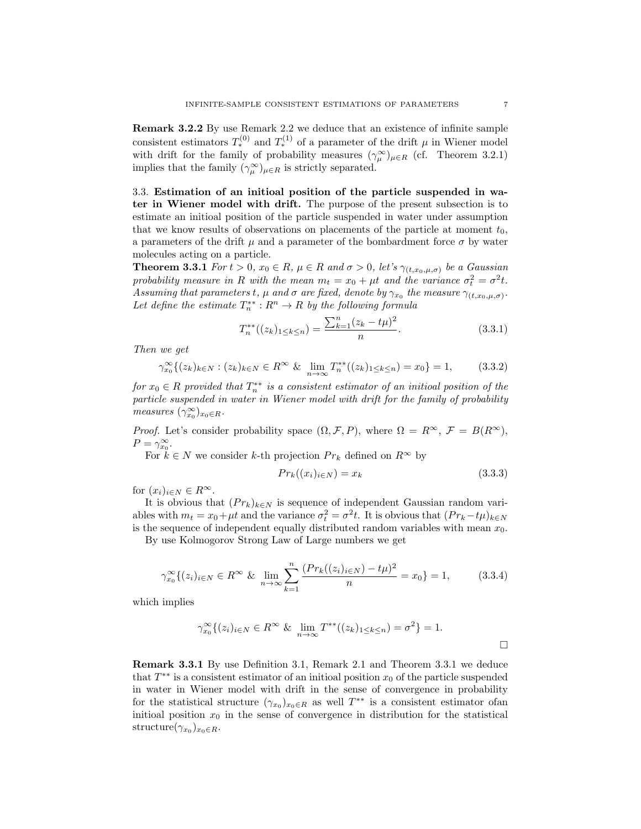Remark 3.2.2 By use Remark 2.2 we deduce that an existence of infinite sample consistent estimators  $T_*^{(0)}$  and  $T_*^{(1)}$  of a parameter of the drift  $\mu$  in Wiener model with drift for the family of probability measures  $(\gamma_\mu^{\infty})_{\mu \in R}$  (cf. Theorem 3.2.1) implies that the family  $(\gamma_\mu^\infty)_{\mu \in R}$  is strictly separated.

3.3. Estimation of an initioal position of the particle suspended in water in Wiener model with drift. The purpose of the present subsection is to estimate an initioal position of the particle suspended in water under assumption that we know results of observations on placements of the particle at moment  $t_0$ , a parameters of the drift  $\mu$  and a parameter of the bombardment force  $\sigma$  by water molecules acting on a particle.

**Theorem 3.3.1** For  $t > 0$ ,  $x_0 \in R$ ,  $\mu \in R$  and  $\sigma > 0$ , let's  $\gamma_{(t,x_0,\mu,\sigma)}$  be a Gaussian probability measure in R with the mean  $m_t = x_0 + \mu t$  and the variance  $\sigma_t^2 = \sigma^2 t$ . Assuming that parameters t,  $\mu$  and  $\sigma$  are fixed, denote by  $\gamma_{x_0}$  the measure  $\gamma_{(t,x_0,\mu,\sigma)}$ . Let define the estimate  $T_n^{**}: R^n \to R$  by the following formula

$$
T_n^{**}((z_k)_{1 \le k \le n}) = \frac{\sum_{k=1}^n (z_k - t\mu)^2}{n}.
$$
\n(3.3.1)

Then we get

$$
\gamma_{x_0}^{\infty} \{ (z_k)_{k \in N} : (z_k)_{k \in N} \in R^{\infty} \& \lim_{n \to \infty} T_n^{**}((z_k)_{1 \le k \le n}) = x_0 \} = 1, \quad (3.3.2)
$$

for  $x_0 \in R$  provided that  $T_n^{**}$  is a consistent estimator of an initioal position of the particle suspended in water in Wiener model with drift for the family of probability measures  $(\gamma_{x_0}^{\infty})_{x_0 \in R}$ .

*Proof.* Let's consider probability space  $(\Omega, \mathcal{F}, P)$ , where  $\Omega = R^{\infty}$ ,  $\mathcal{F} = B(R^{\infty})$ ,  $P = \gamma_{x_0}^{\infty}$ .

For  $k \in N$  we consider k-th projection  $Pr_k$  defined on  $R^{\infty}$  by

$$
Pr_k((x_i)_{i \in N}) = x_k \tag{3.3.3}
$$

for  $(x_i)_{i\in\mathbb{N}}\in R^{\infty}$ .

It is obvious that  $(Pr_k)_{k \in N}$  is sequence of independent Gaussian random variables with  $m_t = x_0 + \mu t$  and the variance  $\sigma_t^2 = \sigma^2 t$ . It is obvious that  $(Pr_k - t\mu)_{k \in N}$ is the sequence of independent equally distributed random variables with mean  $x_0$ .

By use Kolmogorov Strong Law of Large numbers we get

$$
\gamma_{x_0}^{\infty} \{ (z_i)_{i \in N} \in R^{\infty} \& \lim_{n \to \infty} \sum_{k=1}^n \frac{(Pr_k((z_i)_{i \in N}) - t\mu)^2}{n} = x_0 \} = 1,
$$
 (3.3.4)

which implies

$$
\gamma_{x_0}^{\infty} \{ (z_i)_{i \in N} \in R^{\infty} \& \lim_{n \to \infty} T^{**}((z_k)_{1 \le k \le n}) = \sigma^2 \} = 1.
$$

Remark 3.3.1 By use Definition 3.1, Remark 2.1 and Theorem 3.3.1 we deduce that  $T^{**}$  is a consistent estimator of an initioal position  $x_0$  of the particle suspended in water in Wiener model with drift in the sense of convergence in probability for the statistical structure  $(\gamma_{x_0})_{x_0 \in R}$  as well  $T^{**}$  is a consistent estimator of an initioal position  $x_0$  in the sense of convergence in distribution for the statistical structure $(\gamma_{x_0})_{x_0 \in R}$ .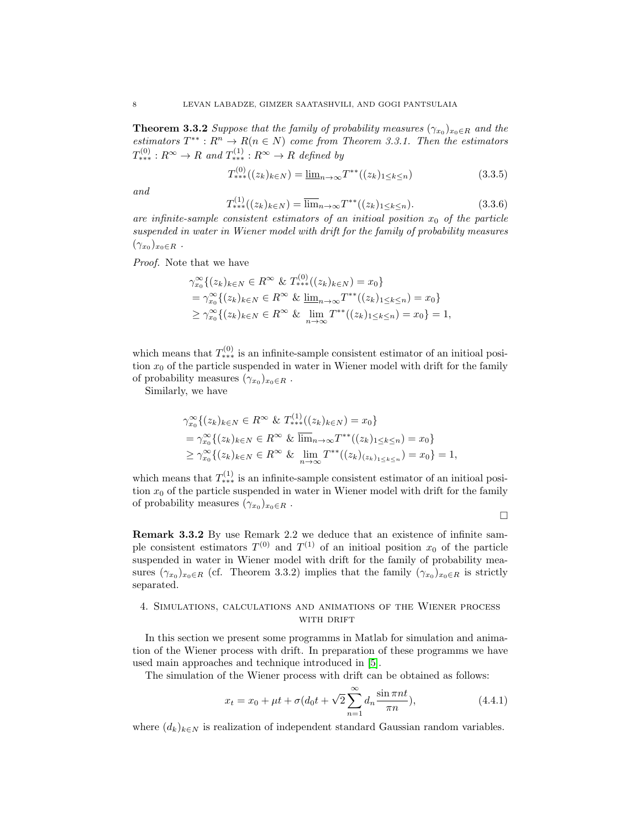**Theorem 3.3.2** Suppose that the family of probability measures  $(\gamma_{x_0})_{x_0 \in R}$  and the estimators  $T^{**}: R^n \to R(n \in N)$  come from Theorem 3.3.1. Then the estimators  $T^{(0)}_{***}: R^{\infty} \to R$  and  $T^{(1)}_{***}: R^{\infty} \to R$  defined by

$$
T_{***}^{(0)}((z_k)_{k \in N}) = \underline{\lim}_{n \to \infty} T^{**}((z_k)_{1 \le k \le n})
$$
\n(3.3.5)

and

$$
T_{**}^{(1)}((z_k)_{k \in N}) = \overline{\lim}_{n \to \infty} T^{**}((z_k)_{1 \le k \le n}).
$$
\n(3.3.6)

are infinite-sample consistent estimators of an initioal position  $x_0$  of the particle suspended in water in Wiener model with drift for the family of probability measures  $(\gamma_{x_0})_{x_0 \in R}$ .

Proof. Note that we have

$$
\gamma_{x_0}^{\infty} \{ (z_k)_{k \in N} \in R^{\infty} \& T_{**}^{(0)}((z_k)_{k \in N}) = x_0 \}
$$
  
= 
$$
\gamma_{x_0}^{\infty} \{ (z_k)_{k \in N} \in R^{\infty} \& \lim_{n \to \infty} T^{**}((z_k)_{1 \le k \le n}) = x_0 \}
$$
  

$$
\ge \gamma_{x_0}^{\infty} \{ (z_k)_{k \in N} \in R^{\infty} \& \lim_{n \to \infty} T^{**}((z_k)_{1 \le k \le n}) = x_0 \} = 1,
$$

 $(0)$ 

which means that  $T^{(0)}_{***}$  is an infinite-sample consistent estimator of an initioal position  $x_0$  of the particle suspended in water in Wiener model with drift for the family of probability measures  $(\gamma_{x_0})_{x_0 \in R}$ .

Similarly, we have

$$
\gamma_{x_0}^{\infty} \{ (z_k)_{k \in N} \in R^{\infty} \& T_{**}^{(1)}((z_k)_{k \in N}) = x_0 \}
$$
  
= 
$$
\gamma_{x_0}^{\infty} \{ (z_k)_{k \in N} \in R^{\infty} \& \overline{\lim}_{n \to \infty} T^{**}((z_k)_{1 \le k \le n}) = x_0 \}
$$
  

$$
\ge \gamma_{x_0}^{\infty} \{ (z_k)_{k \in N} \in R^{\infty} \& \overline{\lim}_{n \to \infty} T^{**}((z_k)_{(z_k)_{1 \le k \le n}}) = x_0 \} = 1,
$$

which means that  $T_{\ast\ast\ast}^{(1)}$  is an infinite-sample consistent estimator of an initioal position  $x_0$  of the particle suspended in water in Wiener model with drift for the family of probability measures  $(\gamma_{x_0})_{x_0 \in R}$ .

 $\Box$ 

Remark 3.3.2 By use Remark 2.2 we deduce that an existence of infinite sample consistent estimators  $T^{(0)}$  and  $T^{(1)}$  of an initioal position  $x_0$  of the particle suspended in water in Wiener model with drift for the family of probability measures  $(\gamma_{x_0})_{x_0 \in R}$  (cf. Theorem 3.3.2) implies that the family  $(\gamma_{x_0})_{x_0 \in R}$  is strictly separated.

## 4. Simulations, calculations and animations of the Wiener process WITH DRIFT

In this section we present some programms in Matlab for simulation and animation of the Wiener process with drift. In preparation of these programms we have used main approaches and technique introduced in [\[5\]](#page-14-4).

The simulation of the Wiener process with drift can be obtained as follows:

$$
x_t = x_0 + \mu t + \sigma (d_0 t + \sqrt{2} \sum_{n=1}^{\infty} d_n \frac{\sin \pi nt}{\pi n}),
$$
\n(4.4.1)

where  $(d_k)_{k\in\mathbb{N}}$  is realization of independent standard Gaussian random variables.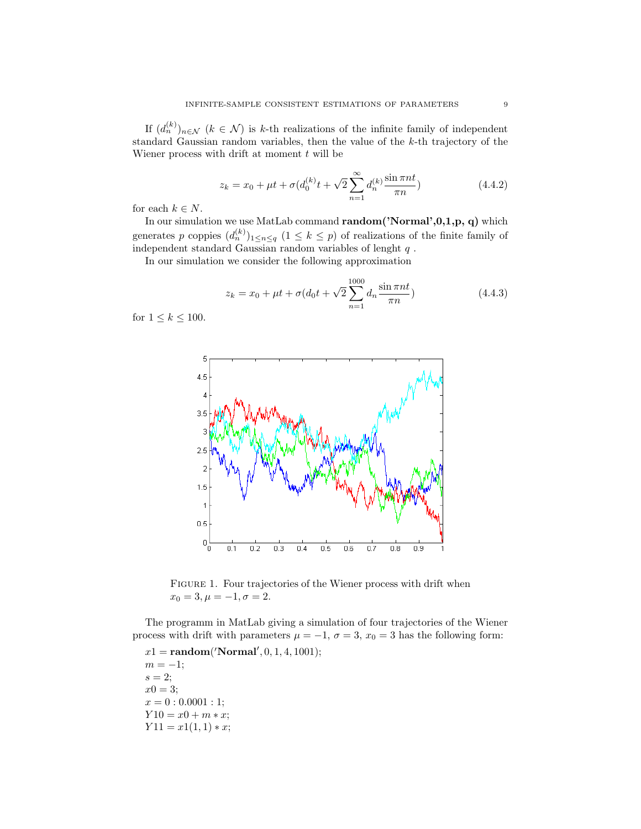If  $(d_n^{(k)})_{n \in \mathcal{N}}$   $(k \in \mathcal{N})$  is k-th realizations of the infinite family of independent standard Gaussian random variables, then the value of the k-th trajectory of the Wiener process with drift at moment  $t$  will be

$$
z_k = x_0 + \mu t + \sigma (d_0^{(k)} t + \sqrt{2} \sum_{n=1}^{\infty} d_n^{(k)} \frac{\sin \pi nt}{\pi n})
$$
\n(4.4.2)

for each  $k \in N$ .

In our simulation we use MatLab command random('Normal',0,1,p, q) which generates p coppies  $(d_n^{(k)})_{1 \leq n \leq q}$   $(1 \leq k \leq p)$  of realizations of the finite family of independent standard Gaussian random variables of lenght  $q$ .

In our simulation we consider the following approximation

$$
z_k = x_0 + \mu t + \sigma (d_0 t + \sqrt{2} \sum_{n=1}^{1000} d_n \frac{\sin \pi nt}{\pi n})
$$
\n(4.4.3)

for  $1 \leq k \leq 100$ .



FIGURE 1. Four trajectories of the Wiener process with drift when  $x_0 = 3, \mu = -1, \sigma = 2.$ 

The programm in MatLab giving a simulation of four trajectories of the Wiener process with drift with parameters  $\mu = -1$ ,  $\sigma = 3$ ,  $x_0 = 3$  has the following form:

 $x1 = \text{random('Normal}', 0, 1, 4, 1001);$  $m = -1;$  $s = 2;$  $x0 = 3;$  $x = 0: 0.0001:1;$  $Y10 = x0 + m * x;$  $Y11 = x1(1,1) * x;$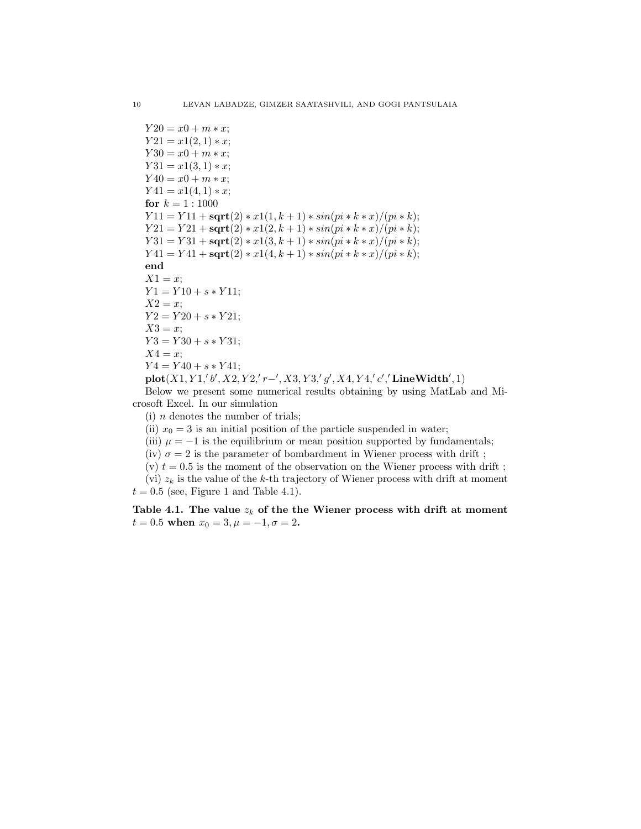$Y20 = x0 + m * x;$  $Y21 = x1(2,1) * x;$  $Y30 = x0 + m * x;$  $Y31 = x1(3, 1) * x;$  $Y40 = x0 + m * x;$  $Y41 = x1(4,1) * x;$ for  $k = 1 : 1000$  $Y11 = Y11 + \mathbf{sqrt}(2) * x1(1, k + 1) * sin(p i * k * x)/(pi * k);$  $Y21 = Y21 + \mathbf{sqrt}(2) * x1(2, k+1) * sin(p i * k * x)/(pi * k);$  $Y31 = Y31 + \mathbf{sqrt}(2) * x1(3, k + 1) * sin(p i * k * x)/(pi * k);$  $Y41 = Y41 + \text{sqrt}(2) * x1(4, k + 1) * sin(p i * k * x)/(pi * k);$ end  $X1 = x$ ;  $Y1 = Y10 + s * Y11;$  $X2 = x$ ;  $Y2 = Y20 + s * Y21;$  $X3 = x$ ;  $Y3 = Y30 + s * Y31;$  $X4 = x$ ;  $Y4 = Y40 + s * Y41;$  $plot(X1, Y1, 'b', X2, Y2, 'r-', X3, Y3, 'g', X4, Y4, 'c', 'LineWidth', 1)$ 

Below we present some numerical results obtaining by using MatLab and Microsoft Excel. In our simulation

(i)  $n$  denotes the number of trials;

(ii)  $x_0 = 3$  is an initial position of the particle suspended in water;

(iii)  $\mu = -1$  is the equilibrium or mean position supported by fundamentals;

(iv)  $\sigma = 2$  is the parameter of bombardment in Wiener process with drift;

(v)  $t = 0.5$  is the moment of the observation on the Wiener process with drift;

(vi)  $z_k$  is the value of the k-th trajectory of Wiener process with drift at moment  $t = 0.5$  (see, Figure 1 and Table 4.1).

Table 4.1. The value  $z_k$  of the the Wiener process with drift at moment  $t = 0.5$  when  $x_0 = 3, \mu = -1, \sigma = 2$ .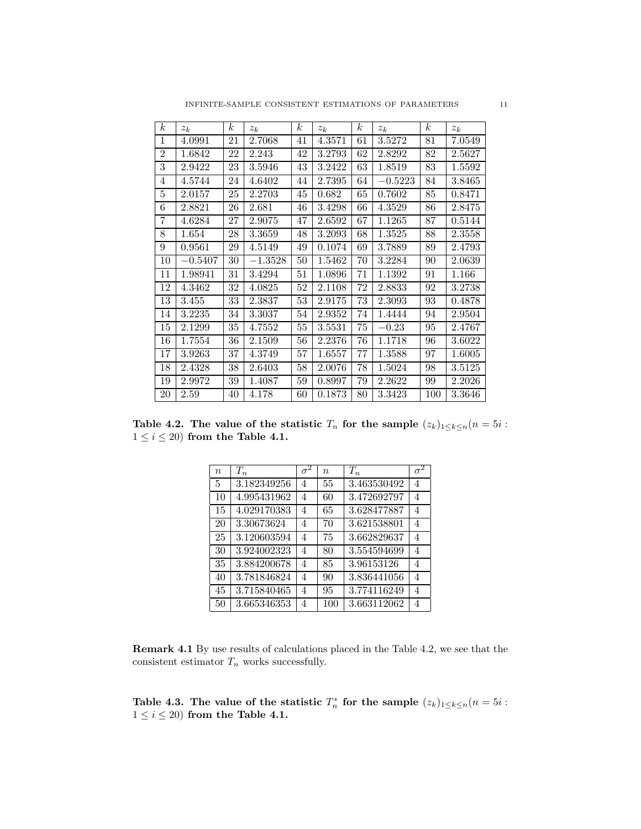| $\boldsymbol{k}$ | $z_k$     | $\boldsymbol{k}$ | $z_k$     | $\boldsymbol{k}$ | $z_k$  | $\boldsymbol{k}$ | $z_k$     | k <sub>i</sub> | $z_k$  |
|------------------|-----------|------------------|-----------|------------------|--------|------------------|-----------|----------------|--------|
| 1                | 4.0991    | 21               | 2.7068    | 41               | 4.3571 | 61               | 3.5272    | 81             | 7.0549 |
| $\overline{2}$   | 1.6842    | 22               | 2.243     | 42               | 3.2793 | 62               | 2.8292    | 82             | 2.5627 |
| 3                | 2.9422    | 23               | 3.5946    | 43               | 3.2422 | 63               | 1.8519    | 83             | 1.5592 |
| 4                | 4.5744    | 24               | 4.6402    | 44               | 2.7395 | 64               | $-0.5223$ | 84             | 3.8465 |
| 5                | 2.0157    | 25               | 2.2703    | 45               | 0.682  | 65               | 0.7602    | 85             | 0.8471 |
| 6                | 2.8821    | 26               | 2.681     | 46               | 3.4298 | 66               | 4.3529    | 86             | 2.8475 |
| 7                | 4.6284    | 27               | 2.9075    | 47               | 2.6592 | 67               | 1.1265    | 87             | 0.5144 |
| 8                | 1.654     | 28               | 3.3659    | 48               | 3.2093 | 68               | 1.3525    | 88             | 2.3558 |
| 9                | 0.9561    | 29               | 4.5149    | 49               | 0.1074 | 69               | 3.7889    | 89             | 2.4793 |
| 10               | $-0.5407$ | 30               | $-1.3528$ | 50               | 1.5462 | 70               | 3.2284    | 90             | 2.0639 |
| 11               | 1.98941   | 31               | 3.4294    | 51               | 1.0896 | 71               | 1.1392    | 91             | 1.166  |
| 12               | 4.3462    | 32               | 4.0825    | 52               | 2.1108 | 72               | 2.8833    | 92             | 3.2738 |
| 13               | 3.455     | 33               | 2.3837    | 53               | 2.9175 | 73               | 2.3093    | 93             | 0.4878 |
| 14               | 3.2235    | 34               | 3.3037    | 54               | 2.9352 | 74               | 1.4444    | 94             | 2.9504 |
| 15               | 2.1299    | 35               | 4.7552    | 55               | 3.5531 | 75               | $-0.23$   | 95             | 2.4767 |
| 16               | 1.7554    | 36               | 2.1509    | 56               | 2.2376 | 76               | 1.1718    | 96             | 3.6022 |
| 17               | 3.9263    | 37               | 4.3749    | 57               | 1.6557 | 77               | 1.3588    | 97             | 1.6005 |
| 18               | 2.4328    | 38               | 2.6403    | 58               | 2.0076 | 78               | 1.5024    | 98             | 3.5125 |
| 19               | 2.9972    | 39               | 1.4087    | 59               | 0.8997 | 79               | 2.2622    | 99             | 2.2026 |
| 20               | 2.59      | 40               | 4.178     | 60               | 0.1873 | 80               | 3.3423    | 100            | 3.3646 |

Table 4.2. The value of the statistic  $T_n$  for the sample  $(z_k)_{1\leq k\leq n}(n=5i$ :  $1 \leq i \leq 20$  from the Table 4.1.

| $\boldsymbol{n}$ | $T_n$       | $\sigma$       | $\eta$ | $T_n$       | $\sigma$       |
|------------------|-------------|----------------|--------|-------------|----------------|
| 5                | 3.182349256 | 4              | 55     | 3.463530492 | 4              |
| 10               | 4.995431962 | $\overline{4}$ | 60     | 3.472692797 | 4              |
| 15               | 4.029170383 | 4              | 65     | 3.628477887 | 4              |
| 20               | 3.30673624  | 4              | 70     | 3.621538801 | 4              |
| 25               | 3.120603594 | 4              | 75     | 3.662829637 | $\overline{4}$ |
| 30               | 3.924002323 | 4              | 80     | 3.554594699 | 4              |
| 35               | 3.884200678 | 4              | 85     | 3.96153126  | $\overline{4}$ |
| 40               | 3.781846824 | 4              | 90     | 3.836441056 | $\overline{4}$ |
| 45               | 3.715840465 | 4              | 95     | 3.774116249 | 4              |
| 50               | 3.665346353 | 4              | 100    | 3.663112062 | 4              |

Remark 4.1 By use results of calculations placed in the Table 4.2, we see that the consistent estimator  $T_n$  works successfully.

Table 4.3. The value of the statistic  $T_n^*$  for the sample  $(z_k)_{1 \leq k \leq n}$   $(n = 5i$ :  $1 \leq i \leq 20$  from the Table 4.1.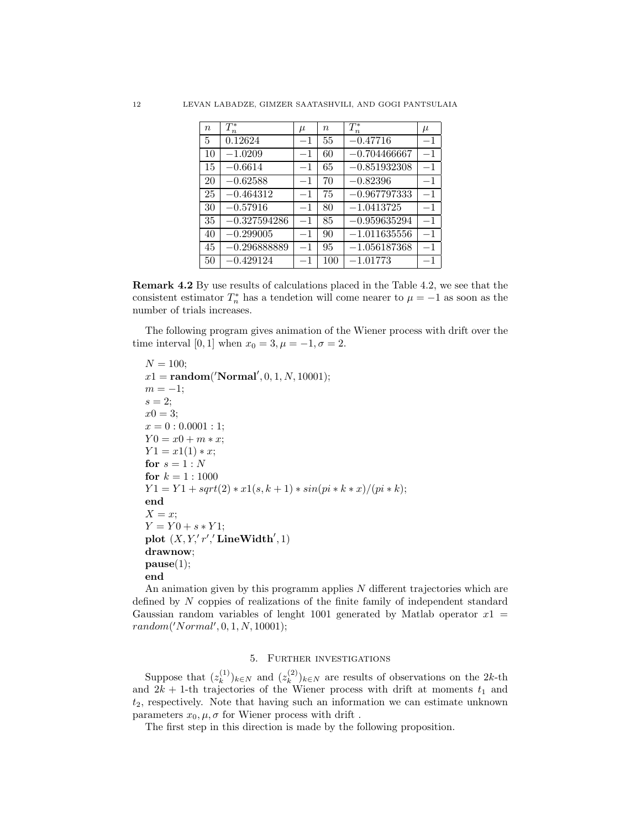| $\boldsymbol{n}$ | $T_n^*$        | $\mu$   | $\eta$ | $T_n^*$                   | $\mu$ |
|------------------|----------------|---------|--------|---------------------------|-------|
| 5                | 0.12624        | $-1$    | 55     | $-0.47716$                | $-1$  |
| 10               | $-1.0209$      | $^{-1}$ | 60     | $-0.704466667$            | $-1$  |
| 15               | $-0.6614$      | $-1$    | 65     | $-0.851932308$            | $-1$  |
| 20               | $-0.62588$     | $-1$    | 70     | $-0.82396$                | $-1$  |
| 25               | $-0.464312$    | $-1$    | 75     | $-0.967797333$            | $-1$  |
| 30               | $-0.57916$     | $-1$    | 80     | $-1.0413725$              | $-1$  |
| 35               | $-0.327594286$ | $-1$    | 85     | $-0.959635294$            | $-1$  |
| 40               | $-0.299005$    | $-1$    | 90     | $-1.011635556$            | $-1$  |
| 45               | $-0.296888889$ | $-1$    | 95     | $-1.\overline{056187368}$ | $-1$  |
| 50               | $-0.429124$    | $^{-1}$ | 100    | $-1.01773$                | $-1$  |

Remark 4.2 By use results of calculations placed in the Table 4.2, we see that the consistent estimator  $T_n^*$  has a tendetion will come nearer to  $\mu = -1$  as soon as the number of trials increases.

The following program gives animation of the Wiener process with drift over the time interval [0, 1] when  $x_0 = 3, \mu = -1, \sigma = 2$ .

```
N = 100;x1 = \text{random}('Normal', 0, 1, N, 10001);m = -1;
s = 2;x0 = 3;x = 0:0.0001:1;Y0 = x0 + m * x;Y1 = x1(1) * x;for s = 1 : Nfor k = 1 : 1000Y1 = Y1 + sqrt(2) * x1(s, k + 1) * sin(pi * k * x)/(pi * k);end
X = x;
Y = Y0 + s * Y1;plot (X, Y, 'r', ' LineWidth', 1)
drawnow;
\mathbf{pause}(1);end
```
An animation given by this programm applies  $N$  different trajectories which are defined by N coppies of realizations of the finite family of independent standard Gaussian random variables of lenght 1001 generated by Matlab operator  $x1 =$  $random('Normal', 0, 1, N, 10001);$ 

## 5. Further investigations

Suppose that  $(z_k^{(1)})$  $(k^{(1)})_{k \in N}$  and  $(z_k^{(2)})$  $(k^{(2)})_{k \in N}$  are results of observations on the 2k-th and  $2k + 1$ -th trajectories of the Wiener process with drift at moments  $t_1$  and  $t_2$ , respectively. Note that having such an information we can estimate unknown parameters  $x_0, \mu, \sigma$  for Wiener process with drift.

The first step in this direction is made by the following proposition.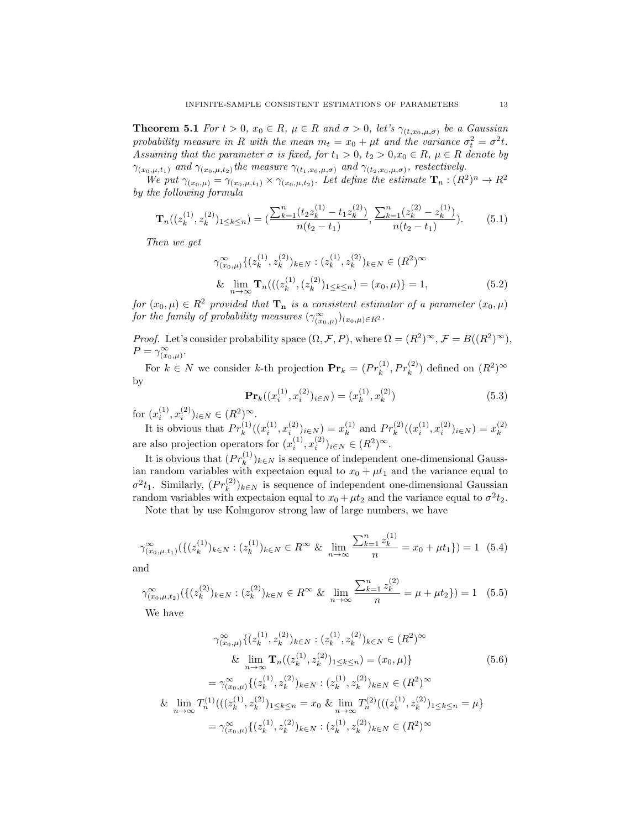**Theorem 5.1** For  $t > 0$ ,  $x_0 \in R$ ,  $\mu \in R$  and  $\sigma > 0$ , let's  $\gamma_{(t,x_0,\mu,\sigma)}$  be a Gaussian probability measure in R with the mean  $m_t = x_0 + \mu t$  and the variance  $\sigma_t^2 = \sigma^2 t$ . Assuming that the parameter  $\sigma$  is fixed, for  $t_1 > 0$ ,  $t_2 > 0$ ,  $x_0 \in R$ ,  $\mu \in R$  denote by  $\gamma_{(x_0,\mu,t_1)}$  and  $\gamma_{(x_0,\mu,t_2)}$  the measure  $\gamma_{(t_1,x_0,\mu,\sigma)}$  and  $\gamma_{(t_2,x_0,\mu,\sigma)}$ , restectively.

We put  $\gamma_{(x_0,\mu)} = \gamma_{(x_0,\mu,t_1)} \times \gamma_{(x_0,\mu,t_2)}$ . Let define the estimate  $\mathbf{T}_n : (R^2)^n \to R^2$ by the following formula

$$
\mathbf{T}_n((z_k^{(1)}, z_k^{(2)})_{1 \le k \le n}) = \left(\frac{\sum_{k=1}^n (t_2 z_k^{(1)} - t_1 z_k^{(2)})}{n(t_2 - t_1)}, \frac{\sum_{k=1}^n (z_k^{(2)} - z_k^{(1)})}{n(t_2 - t_1)}\right). \tag{5.1}
$$

Then we get

$$
\gamma_{(x_0,\mu)}^{\infty} \{ (z_k^{(1)}, z_k^{(2)})_{k \in N} : (z_k^{(1)}, z_k^{(2)})_{k \in N} \in (R^2)^{\infty} \}
$$
  
& 
$$
\lim_{n \to \infty} \mathbf{T}_n (((z_k^{(1)}, (z_k^{(2)})_{1 \le k \le n}) = (x_0, \mu) \} = 1,
$$
 (5.2)

for  $(x_0, \mu) \in R^2$  provided that  $\mathbf{T}_n$  is a consistent estimator of a parameter  $(x_0, \mu)$ for the family of probability measures  $(\gamma^{\infty}_{(x_0,\mu)})_{(x_0,\mu)\in R^2}$ .

*Proof.* Let's consider probability space  $(\Omega, \mathcal{F}, P)$ , where  $\Omega = (R^2)^\infty$ ,  $\mathcal{F} = B((R^2)^\infty)$ ,  $P = \gamma_{(x_0,\mu)}^{\infty}.$ 

For  $k \in N$  we consider k-th projection  $\mathbf{Pr}_k = (Pr_k^{(1)}, Pr_k^{(2)})$  defined on  $(R^2)^\infty$ by

$$
\mathbf{Pr}_k((x_i^{(1)}, x_i^{(2)})_{i \in N}) = (x_k^{(1)}, x_k^{(2)})
$$
\n(5.3)

for  $(x_i^{(1)}, x_i^{(2)})_{i \in N} \in (R^2)^\infty$ .

It is obvious that  $Pr_k^{(1)}((x_i^{(1)}, x_i^{(2)})_{i \in N}) = x_k^{(1)}$  $k^{(1)}$  and  $Pr_k^{(2)}((x_i^{(1)}, x_i^{(2)})_{i \in N}) = x_k^{(2)}$ k are also projection operators for  $(x_i^{(1)}, x_i^{(2)})_{i \in N} \in (R^2)^{\infty}$ .

It is obvious that  $(Pr_k^{(1)})_{k \in N}$  is sequence of independent one-dimensional Gaussian random variables with expectaion equal to  $x_0 + \mu t_1$  and the variance equal to  $\sigma^2 t_1$ . Similarly,  $(Pr_k^{(2)})_{k \in N}$  is sequence of independent one-dimensional Gaussian random variables with expectaion equal to  $x_0 + \mu t_2$  and the variance equal to  $\sigma^2 t_2$ .

Note that by use Kolmgorov strong law of large numbers, we have

$$
\gamma_{(x_0,\mu,t_1)}^{\infty}(\{(z_k^{(1)})_{k\in N} : (z_k^{(1)})_{k\in N} \in R^{\infty} \& \lim_{n\to\infty} \frac{\sum_{k=1}^n z_k^{(1)}}{n} = x_0 + \mu t_1\}) = 1 \tag{5.4}
$$

and

$$
\gamma_{(x_0,\mu,t_2)}^{\infty}(\{(z_k^{(2)})_{k\in N}:(z_k^{(2)})_{k\in N}\in R^{\infty}\&\lim_{n\to\infty}\frac{\sum_{k=1}^n z_k^{(2)}}{n}=\mu+\mu t_2\})=1\quad(5.5)
$$

We have

$$
\gamma_{(x_0,\mu)}^{\infty} \{ (z_k^{(1)}, z_k^{(2)})_{k \in N} : (z_k^{(1)}, z_k^{(2)})_{k \in N} \in (R^2)^{\infty} \& \lim_{n \to \infty} \mathbf{T}_n((z_k^{(1)}, z_k^{(2)})_{1 \le k \le n}) = (x_0, \mu) \} \tag{5.6}
$$

$$
= \gamma_{(x_0,\mu)}^{\infty} \{ (z_k^{(1)}, z_k^{(2)})_{k \in N} : (z_k^{(1)}, z_k^{(2)})_{k \in N} \in (R^2)^{\infty} \& \lim_{n \to \infty} T_n^{(1)}(((z_k^{(1)}, z_k^{(2)})_{1 \le k \le n} = x_0 \& \lim_{n \to \infty} T_n^{(2)}(((z_k^{(1)}, z_k^{(2)})_{1 \le k \le n} = \mu) \& \max_{(x_0,\mu)} \{ (z_k^{(1)}, z_k^{(2)})_{k \in N} : (z_k^{(1)}, z_k^{(2)})_{k \in N} \in (R^2)^{\infty} \& \max_{(x_0,\mu)} \{ (z_k^{(1)}, z_k^{(2)})_{k \in N} : (z_k^{(1)}, z_k^{(2)})_{k \in N} \in (R^2)^{\infty} \& \max_{(x_0,\mu)} \{ (z_k^{(1)}, z_k^{(2)})_{k \in N} : (z_k^{(1)}, z_k^{(2)})_{k \in N} \in (R^2)^{\infty} \& \max_{(x_0,\mu)} \{ (z_k^{(1)}, z_k^{(2)})_{k \in N} : (z_k^{(1)}, z_k^{(2)})_{k \in N} \in (R^2)^{\infty} \& \max_{(x_0,\mu)} \{ (z_k^{(1)}, z_k^{(2)})_{k \in N} : (z_k^{(1)}, z_k^{(2)})_{k \in N} \in (R^2)^{\infty} \& \max_{(x_0,\mu)} \{ (z_k^{(1)}, z_k^{(2)})_{k \in N} : (z_k^{(1)}, z_k^{(2)})_{k \in N} \in (R^2)^{\infty} \& \max_{(x_0,\mu)} \{ (z_k^{(1)}, z_k^{(2)})_{k \in N} : (z_k^{(1)}, z_k^{(2)})_{k \in N} \in (R^2)^{\infty} \& \max_{(x_0,\mu)} \{ (z_k^{(1)}, z_k^{
$$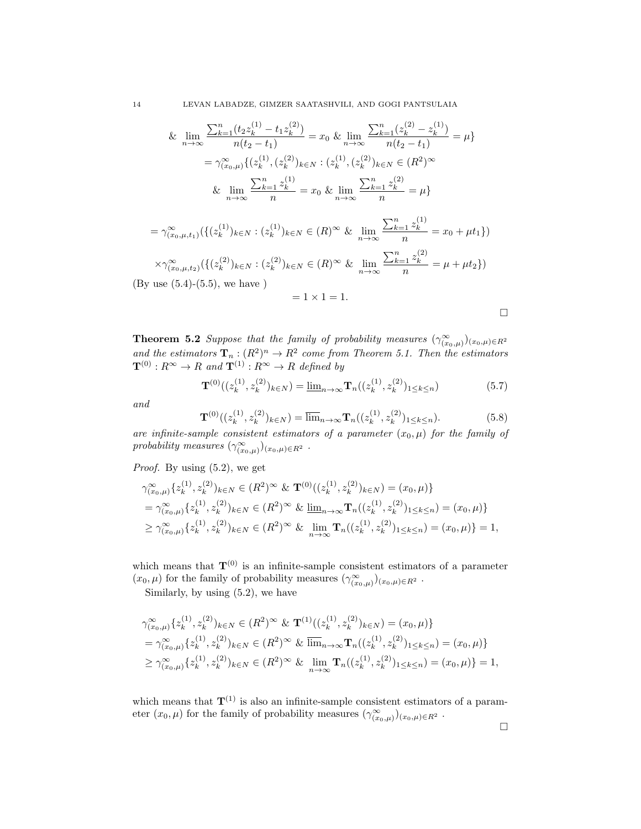14 LEVAN LABADZE, GIMZER SAATASHVILI, AND GOGI PANTSULAIA

& 
$$
\lim_{n \to \infty} \frac{\sum_{k=1}^{n} (t_2 z_k^{(1)} - t_1 z_k^{(2)})}{n(t_2 - t_1)} = x_0 \& \lim_{n \to \infty} \frac{\sum_{k=1}^{n} (z_k^{(2)} - z_k^{(1)})}{n(t_2 - t_1)} = \mu \}
$$

$$
= \gamma_{(x_0,\mu)}^{\infty} \{ (z_k^{(1)}, (z_k^{(2)})_{k \in N} : (z_k^{(1)}, (z_k^{(2)})_{k \in N} \in (R^2)^{\infty} \}
$$

$$
\& \lim_{n \to \infty} \frac{\sum_{k=1}^{n} z_k^{(1)}}{n} = x_0 \& \lim_{n \to \infty} \frac{\sum_{k=1}^{n} z_k^{(2)}}{n} = \mu \}
$$

$$
= \gamma_{(x_0,\mu,t_1)}^{\infty}(\{(z_k^{(1)})_{k \in N} : (z_k^{(1)})_{k \in N} \in (R)^{\infty} \& \lim_{n \to \infty} \frac{\sum_{k=1}^n z_k^{(1)}}{n} = x_0 + \mu t_1\})
$$

$$
\times \gamma_{(x_0,\mu,t_2)}^{\infty}(\{(z_k^{(2)})_{k \in N} : (z_k^{(2)})_{k \in N} \in (R)^{\infty} \& \lim_{n \to \infty} \frac{\sum_{k=1}^n z_k^{(2)}}{n} = \mu + \mu t_2\})
$$
  
(By use (5.4)-(5.5), we have)
$$
= 1 \times 1 = 1.
$$

**Theorem 5.2** Suppose that the family of probability measures  $(\gamma_{(x_0,\mu)}^{\infty})_{(x_0,\mu)\in R^2}$ and the estimators  $\mathbf{T}_n : (R^2)^n \to R^2$  come from Theorem 5.1. Then the estimators  $\mathbf{T}^{(0)} : R^{\infty} \to R$  and  $\mathbf{T}^{(1)} : R^{\infty} \to R$  defined by

$$
\mathbf{T}^{(0)}((z_k^{(1)}, z_k^{(2)})_{k \in N}) = \underline{\lim}_{n \to \infty} \mathbf{T}_n((z_k^{(1)}, z_k^{(2)})_{1 \le k \le n})
$$
(5.7)

and

$$
\mathbf{T}^{(0)}((z_k^{(1)}, z_k^{(2)})_{k \in N}) = \overline{\lim}_{n \to \infty} \mathbf{T}_n((z_k^{(1)}, z_k^{(2)})_{1 \le k \le n}).
$$
\n(5.8)

are infinite-sample consistent estimators of a parameter  $(x_0, \mu)$  for the family of probability measures  $(\gamma_{(x_0,\mu)}^{\infty})_{(x_0,\mu)\in R^2}$ .

Proof. By using (5.2), we get

$$
\gamma_{(x_0,\mu)}^{\infty} \{z_k^{(1)}, z_k^{(2)}\}_{k \in N} \in (R^2)^{\infty} \& \mathbf{T}^{(0)}((z_k^{(1)}, z_k^{(2)})_{k \in N}) = (x_0, \mu)\}
$$
  
\n
$$
= \gamma_{(x_0,\mu)}^{\infty} \{z_k^{(1)}, z_k^{(2)}\}_{k \in N} \in (R^2)^{\infty} \& \underline{\lim}_{n \to \infty} \mathbf{T}_n((z_k^{(1)}, z_k^{(2)})_{1 \le k \le n}) = (x_0, \mu)\}
$$
  
\n
$$
\ge \gamma_{(x_0,\mu)}^{\infty} \{z_k^{(1)}, z_k^{(2)}\}_{k \in N} \in (R^2)^{\infty} \& \underline{\lim}_{n \to \infty} \mathbf{T}_n((z_k^{(1)}, z_k^{(2)})_{1 \le k \le n}) = (x_0, \mu)\} = 1,
$$

which means that  $T^{(0)}$  is an infinite-sample consistent estimators of a parameter  $(x_0, \mu)$  for the family of probability measures  $(\gamma_{(x_0,\mu)}^{\infty})_{(x_0,\mu)\in R^2}$ .

Similarly, by using (5.2), we have

$$
\gamma_{(x_0,\mu)}^{\infty} \{z_k^{(1)}, z_k^{(2)}\}_{k \in N} \in (R^2)^{\infty} \& \mathbf{T}^{(1)}((z_k^{(1)}, z_k^{(2)})_{k \in N}) = (x_0, \mu)\}
$$
  
\n
$$
= \gamma_{(x_0,\mu)}^{\infty} \{z_k^{(1)}, z_k^{(2)}\}_{k \in N} \in (R^2)^{\infty} \& \overline{\lim}_{n \to \infty} \mathbf{T}_n((z_k^{(1)}, z_k^{(2)})_{1 \le k \le n}) = (x_0, \mu)\}
$$
  
\n
$$
\ge \gamma_{(x_0,\mu)}^{\infty} \{z_k^{(1)}, z_k^{(2)}\}_{k \in N} \in (R^2)^{\infty} \& \lim_{n \to \infty} \mathbf{T}_n((z_k^{(1)}, z_k^{(2)})_{1 \le k \le n}) = (x_0, \mu)\} = 1,
$$

which means that  $T^{(1)}$  is also an infinite-sample consistent estimators of a parameter  $(x_0, \mu)$  for the family of probability measures  $(\gamma_{(x_0,\mu)}^{\infty})_{(x_0,\mu)\in R^2}$ .

 $\Box$ 

 $\Box$